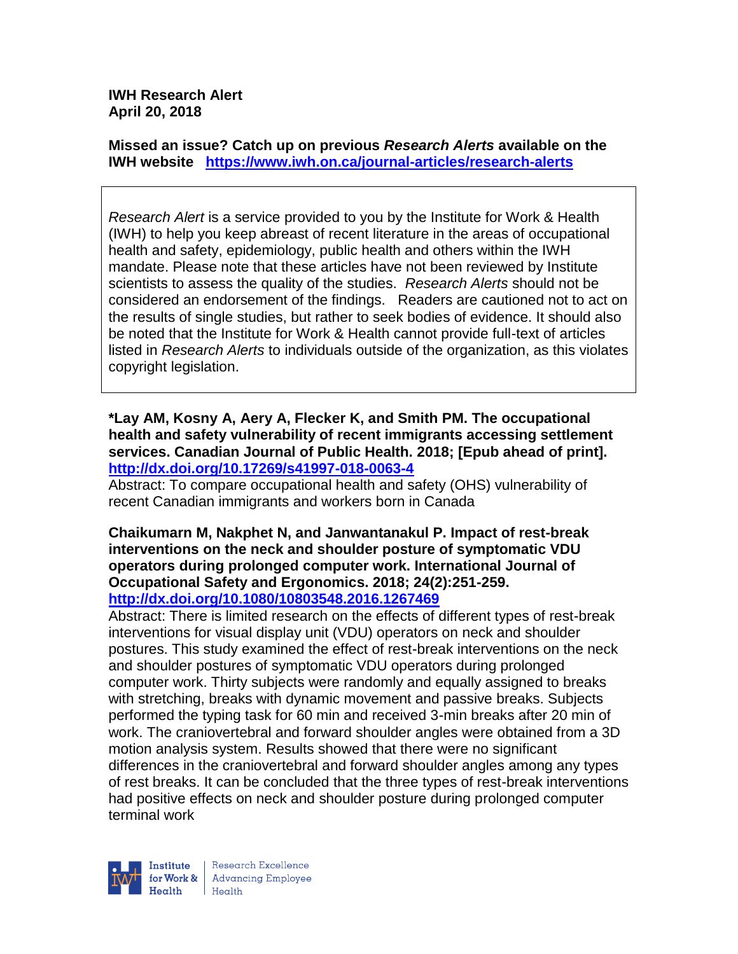**IWH Research Alert April 20, 2018**

**Missed an issue? Catch up on previous** *Research Alerts* **available on the [IWH website](http://www.iwh.on.ca/research-alerts) <https://www.iwh.on.ca/journal-articles/research-alerts>**

*Research Alert* is a service provided to you by the Institute for Work & Health (IWH) to help you keep abreast of recent literature in the areas of occupational health and safety, epidemiology, public health and others within the IWH mandate. Please note that these articles have not been reviewed by Institute scientists to assess the quality of the studies. *Research Alerts* should not be considered an endorsement of the findings. Readers are cautioned not to act on the results of single studies, but rather to seek bodies of evidence. It should also be noted that the Institute for Work & Health cannot provide full-text of articles listed in *Research Alerts* to individuals outside of the organization, as this violates copyright legislation.

**\*Lay AM, Kosny A, Aery A, Flecker K, and Smith PM. The occupational health and safety vulnerability of recent immigrants accessing settlement services. Canadian Journal of Public Health. 2018; [Epub ahead of print]. <http://dx.doi.org/10.17269/s41997-018-0063-4>**

Abstract: To compare occupational health and safety (OHS) vulnerability of recent Canadian immigrants and workers born in Canada

#### **Chaikumarn M, Nakphet N, and Janwantanakul P. Impact of rest-break interventions on the neck and shoulder posture of symptomatic VDU operators during prolonged computer work. International Journal of Occupational Safety and Ergonomics. 2018; 24(2):251-259. <http://dx.doi.org/10.1080/10803548.2016.1267469>**

Abstract: There is limited research on the effects of different types of rest-break interventions for visual display unit (VDU) operators on neck and shoulder postures. This study examined the effect of rest-break interventions on the neck and shoulder postures of symptomatic VDU operators during prolonged computer work. Thirty subjects were randomly and equally assigned to breaks with stretching, breaks with dynamic movement and passive breaks. Subjects performed the typing task for 60 min and received 3-min breaks after 20 min of work. The craniovertebral and forward shoulder angles were obtained from a 3D motion analysis system. Results showed that there were no significant differences in the craniovertebral and forward shoulder angles among any types of rest breaks. It can be concluded that the three types of rest-break interventions had positive effects on neck and shoulder posture during prolonged computer terminal work



Research Excellence for Work & | Advancing Employee  $H_{\text{eath}}$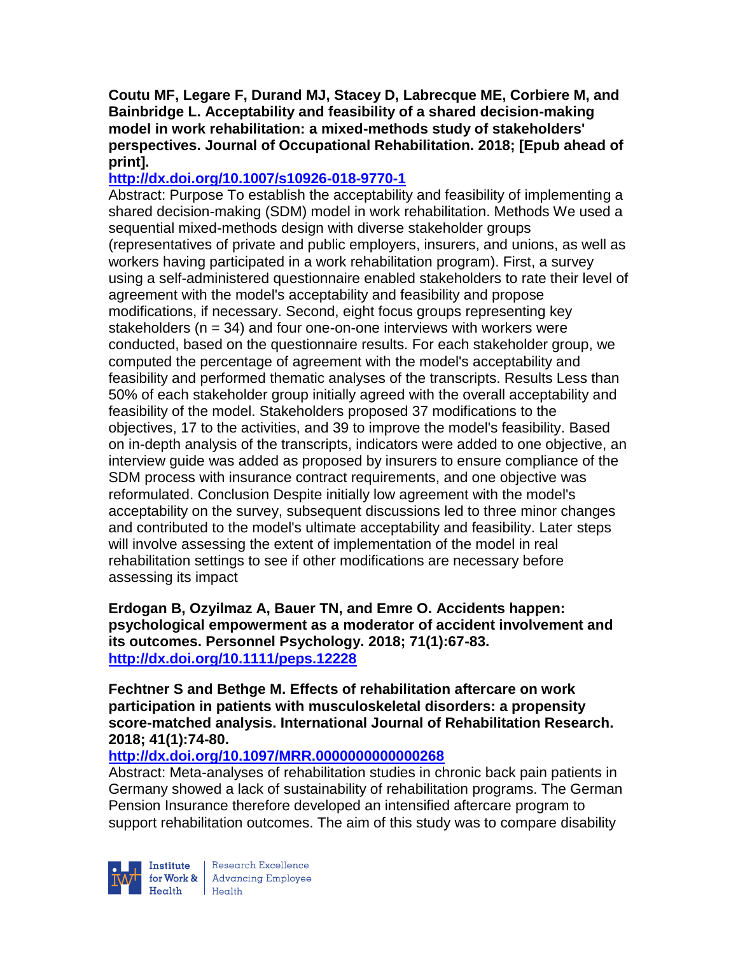**Coutu MF, Legare F, Durand MJ, Stacey D, Labrecque ME, Corbiere M, and Bainbridge L. Acceptability and feasibility of a shared decision-making model in work rehabilitation: a mixed-methods study of stakeholders' perspectives. Journal of Occupational Rehabilitation. 2018; [Epub ahead of print].**

# **<http://dx.doi.org/10.1007/s10926-018-9770-1>**

Abstract: Purpose To establish the acceptability and feasibility of implementing a shared decision-making (SDM) model in work rehabilitation. Methods We used a sequential mixed-methods design with diverse stakeholder groups (representatives of private and public employers, insurers, and unions, as well as workers having participated in a work rehabilitation program). First, a survey using a self-administered questionnaire enabled stakeholders to rate their level of agreement with the model's acceptability and feasibility and propose modifications, if necessary. Second, eight focus groups representing key stakeholders ( $n = 34$ ) and four one-on-one interviews with workers were conducted, based on the questionnaire results. For each stakeholder group, we computed the percentage of agreement with the model's acceptability and feasibility and performed thematic analyses of the transcripts. Results Less than 50% of each stakeholder group initially agreed with the overall acceptability and feasibility of the model. Stakeholders proposed 37 modifications to the objectives, 17 to the activities, and 39 to improve the model's feasibility. Based on in-depth analysis of the transcripts, indicators were added to one objective, an interview guide was added as proposed by insurers to ensure compliance of the SDM process with insurance contract requirements, and one objective was reformulated. Conclusion Despite initially low agreement with the model's acceptability on the survey, subsequent discussions led to three minor changes and contributed to the model's ultimate acceptability and feasibility. Later steps will involve assessing the extent of implementation of the model in real rehabilitation settings to see if other modifications are necessary before assessing its impact

**Erdogan B, Ozyilmaz A, Bauer TN, and Emre O. Accidents happen: psychological empowerment as a moderator of accident involvement and its outcomes. Personnel Psychology. 2018; 71(1):67-83. <http://dx.doi.org/10.1111/peps.12228>**

**Fechtner S and Bethge M. Effects of rehabilitation aftercare on work participation in patients with musculoskeletal disorders: a propensity score-matched analysis. International Journal of Rehabilitation Research. 2018; 41(1):74-80.** 

# **<http://dx.doi.org/10.1097/MRR.0000000000000268>**

Abstract: Meta-analyses of rehabilitation studies in chronic back pain patients in Germany showed a lack of sustainability of rehabilitation programs. The German Pension Insurance therefore developed an intensified aftercare program to support rehabilitation outcomes. The aim of this study was to compare disability



Research Excellence **Institute** Research Excellence<br> **Fractional Advancing Employee**<br> **Health** Health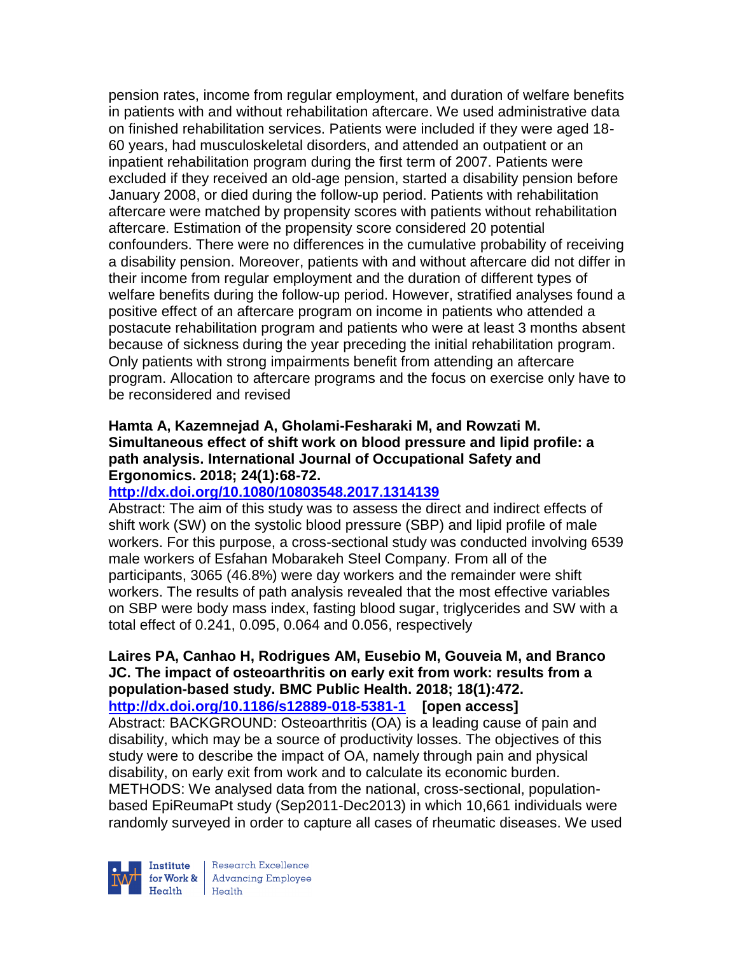pension rates, income from regular employment, and duration of welfare benefits in patients with and without rehabilitation aftercare. We used administrative data on finished rehabilitation services. Patients were included if they were aged 18- 60 years, had musculoskeletal disorders, and attended an outpatient or an inpatient rehabilitation program during the first term of 2007. Patients were excluded if they received an old-age pension, started a disability pension before January 2008, or died during the follow-up period. Patients with rehabilitation aftercare were matched by propensity scores with patients without rehabilitation aftercare. Estimation of the propensity score considered 20 potential confounders. There were no differences in the cumulative probability of receiving a disability pension. Moreover, patients with and without aftercare did not differ in their income from regular employment and the duration of different types of welfare benefits during the follow-up period. However, stratified analyses found a positive effect of an aftercare program on income in patients who attended a postacute rehabilitation program and patients who were at least 3 months absent because of sickness during the year preceding the initial rehabilitation program. Only patients with strong impairments benefit from attending an aftercare program. Allocation to aftercare programs and the focus on exercise only have to be reconsidered and revised

## **Hamta A, Kazemnejad A, Gholami-Fesharaki M, and Rowzati M. Simultaneous effect of shift work on blood pressure and lipid profile: a path analysis. International Journal of Occupational Safety and Ergonomics. 2018; 24(1):68-72.**

## **<http://dx.doi.org/10.1080/10803548.2017.1314139>**

Abstract: The aim of this study was to assess the direct and indirect effects of shift work (SW) on the systolic blood pressure (SBP) and lipid profile of male workers. For this purpose, a cross-sectional study was conducted involving 6539 male workers of Esfahan Mobarakeh Steel Company. From all of the participants, 3065 (46.8%) were day workers and the remainder were shift workers. The results of path analysis revealed that the most effective variables on SBP were body mass index, fasting blood sugar, triglycerides and SW with a total effect of 0.241, 0.095, 0.064 and 0.056, respectively

#### **Laires PA, Canhao H, Rodrigues AM, Eusebio M, Gouveia M, and Branco JC. The impact of osteoarthritis on early exit from work: results from a population-based study. BMC Public Health. 2018; 18(1):472. <http://dx.doi.org/10.1186/s12889-018-5381-1>[open access]**

Abstract: BACKGROUND: Osteoarthritis (OA) is a leading cause of pain and disability, which may be a source of productivity losses. The objectives of this study were to describe the impact of OA, namely through pain and physical disability, on early exit from work and to calculate its economic burden. METHODS: We analysed data from the national, cross-sectional, populationbased EpiReumaPt study (Sep2011-Dec2013) in which 10,661 individuals were randomly surveyed in order to capture all cases of rheumatic diseases. We used



Research Excellence for Work & | Advancing Employee  $Heath$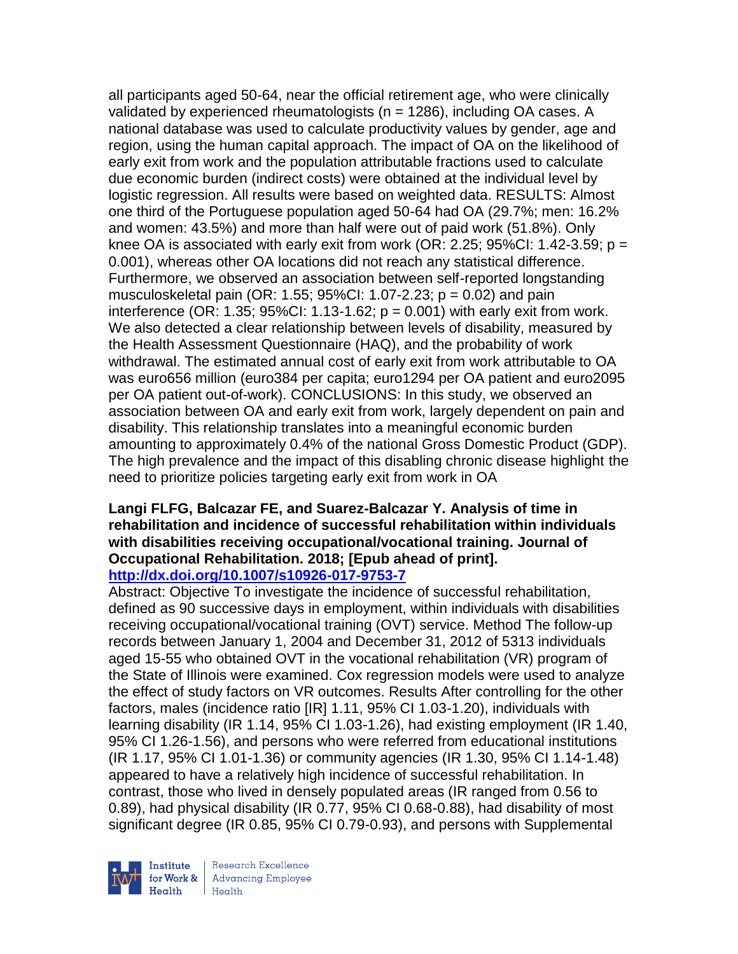all participants aged 50-64, near the official retirement age, who were clinically validated by experienced rheumatologists ( $n = 1286$ ), including OA cases. A national database was used to calculate productivity values by gender, age and region, using the human capital approach. The impact of OA on the likelihood of early exit from work and the population attributable fractions used to calculate due economic burden (indirect costs) were obtained at the individual level by logistic regression. All results were based on weighted data. RESULTS: Almost one third of the Portuguese population aged 50-64 had OA (29.7%; men: 16.2% and women: 43.5%) and more than half were out of paid work (51.8%). Only knee OA is associated with early exit from work (OR: 2.25; 95%CI: 1.42-3.59;  $p =$ 0.001), whereas other OA locations did not reach any statistical difference. Furthermore, we observed an association between self-reported longstanding musculoskeletal pain (OR: 1.55; 95%CI: 1.07-2.23; p = 0.02) and pain interference (OR: 1.35;  $95\%$ CI: 1.13-1.62;  $p = 0.001$ ) with early exit from work. We also detected a clear relationship between levels of disability, measured by the Health Assessment Questionnaire (HAQ), and the probability of work withdrawal. The estimated annual cost of early exit from work attributable to OA was euro656 million (euro384 per capita; euro1294 per OA patient and euro2095 per OA patient out-of-work). CONCLUSIONS: In this study, we observed an association between OA and early exit from work, largely dependent on pain and disability. This relationship translates into a meaningful economic burden amounting to approximately 0.4% of the national Gross Domestic Product (GDP). The high prevalence and the impact of this disabling chronic disease highlight the need to prioritize policies targeting early exit from work in OA

#### **Langi FLFG, Balcazar FE, and Suarez-Balcazar Y. Analysis of time in rehabilitation and incidence of successful rehabilitation within individuals with disabilities receiving occupational/vocational training. Journal of Occupational Rehabilitation. 2018; [Epub ahead of print]. <http://dx.doi.org/10.1007/s10926-017-9753-7>**

Abstract: Objective To investigate the incidence of successful rehabilitation, defined as 90 successive days in employment, within individuals with disabilities receiving occupational/vocational training (OVT) service. Method The follow-up records between January 1, 2004 and December 31, 2012 of 5313 individuals aged 15-55 who obtained OVT in the vocational rehabilitation (VR) program of the State of Illinois were examined. Cox regression models were used to analyze the effect of study factors on VR outcomes. Results After controlling for the other factors, males (incidence ratio [IR] 1.11, 95% CI 1.03-1.20), individuals with learning disability (IR 1.14, 95% CI 1.03-1.26), had existing employment (IR 1.40, 95% CI 1.26-1.56), and persons who were referred from educational institutions (IR 1.17, 95% CI 1.01-1.36) or community agencies (IR 1.30, 95% CI 1.14-1.48) appeared to have a relatively high incidence of successful rehabilitation. In contrast, those who lived in densely populated areas (IR ranged from 0.56 to 0.89), had physical disability (IR 0.77, 95% CI 0.68-0.88), had disability of most significant degree (IR 0.85, 95% CI 0.79-0.93), and persons with Supplemental

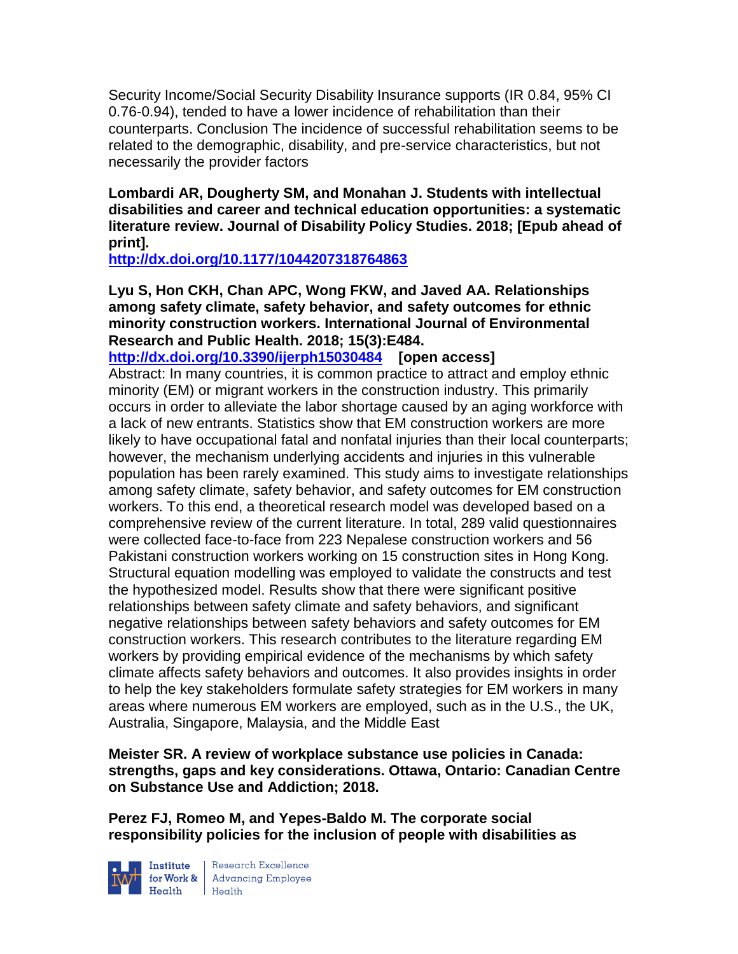Security Income/Social Security Disability Insurance supports (IR 0.84, 95% CI 0.76-0.94), tended to have a lower incidence of rehabilitation than their counterparts. Conclusion The incidence of successful rehabilitation seems to be related to the demographic, disability, and pre-service characteristics, but not necessarily the provider factors

**Lombardi AR, Dougherty SM, and Monahan J. Students with intellectual disabilities and career and technical education opportunities: a systematic literature review. Journal of Disability Policy Studies. 2018; [Epub ahead of print].**

**<http://dx.doi.org/10.1177/1044207318764863>**

**Lyu S, Hon CKH, Chan APC, Wong FKW, and Javed AA. Relationships among safety climate, safety behavior, and safety outcomes for ethnic minority construction workers. International Journal of Environmental Research and Public Health. 2018; 15(3):E484.**

**<http://dx.doi.org/10.3390/ijerph15030484>[open access]** Abstract: In many countries, it is common practice to attract and employ ethnic minority (EM) or migrant workers in the construction industry. This primarily occurs in order to alleviate the labor shortage caused by an aging workforce with a lack of new entrants. Statistics show that EM construction workers are more likely to have occupational fatal and nonfatal injuries than their local counterparts; however, the mechanism underlying accidents and injuries in this vulnerable population has been rarely examined. This study aims to investigate relationships among safety climate, safety behavior, and safety outcomes for EM construction workers. To this end, a theoretical research model was developed based on a comprehensive review of the current literature. In total, 289 valid questionnaires were collected face-to-face from 223 Nepalese construction workers and 56 Pakistani construction workers working on 15 construction sites in Hong Kong. Structural equation modelling was employed to validate the constructs and test the hypothesized model. Results show that there were significant positive relationships between safety climate and safety behaviors, and significant negative relationships between safety behaviors and safety outcomes for EM construction workers. This research contributes to the literature regarding EM workers by providing empirical evidence of the mechanisms by which safety climate affects safety behaviors and outcomes. It also provides insights in order to help the key stakeholders formulate safety strategies for EM workers in many areas where numerous EM workers are employed, such as in the U.S., the UK, Australia, Singapore, Malaysia, and the Middle East

**Meister SR. A review of workplace substance use policies in Canada: strengths, gaps and key considerations. Ottawa, Ontario: Canadian Centre on Substance Use and Addiction; 2018.** 

**Perez FJ, Romeo M, and Yepes-Baldo M. The corporate social responsibility policies for the inclusion of people with disabilities as** 



**Institute** Research Excellence<br> **for Work &** Advancing Employee<br> **Health** Health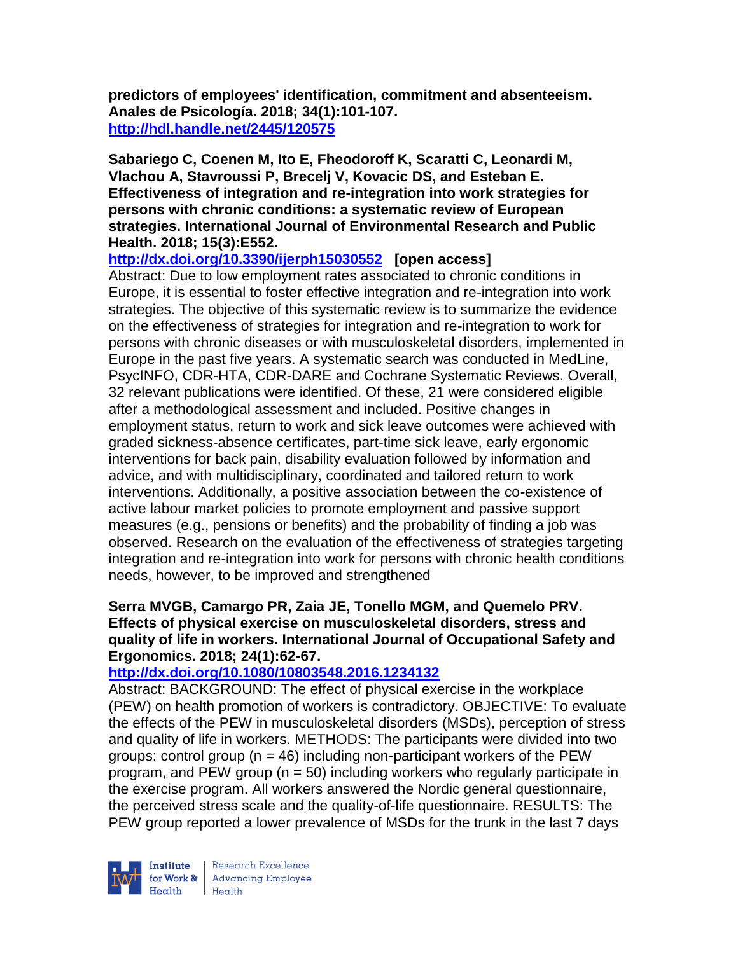**predictors of employees' identification, commitment and absenteeism. Anales de Psicología. 2018; 34(1):101-107. <http://hdl.handle.net/2445/120575>**

**Sabariego C, Coenen M, Ito E, Fheodoroff K, Scaratti C, Leonardi M, Vlachou A, Stavroussi P, Brecelj V, Kovacic DS, and Esteban E. Effectiveness of integration and re-integration into work strategies for persons with chronic conditions: a systematic review of European strategies. International Journal of Environmental Research and Public Health. 2018; 15(3):E552.**

**<http://dx.doi.org/10.3390/ijerph15030552>[open access]**

Abstract: Due to low employment rates associated to chronic conditions in Europe, it is essential to foster effective integration and re-integration into work strategies. The objective of this systematic review is to summarize the evidence on the effectiveness of strategies for integration and re-integration to work for persons with chronic diseases or with musculoskeletal disorders, implemented in Europe in the past five years. A systematic search was conducted in MedLine, PsycINFO, CDR-HTA, CDR-DARE and Cochrane Systematic Reviews. Overall, 32 relevant publications were identified. Of these, 21 were considered eligible after a methodological assessment and included. Positive changes in employment status, return to work and sick leave outcomes were achieved with graded sickness-absence certificates, part-time sick leave, early ergonomic interventions for back pain, disability evaluation followed by information and advice, and with multidisciplinary, coordinated and tailored return to work interventions. Additionally, a positive association between the co-existence of active labour market policies to promote employment and passive support measures (e.g., pensions or benefits) and the probability of finding a job was observed. Research on the evaluation of the effectiveness of strategies targeting integration and re-integration into work for persons with chronic health conditions needs, however, to be improved and strengthened

## **Serra MVGB, Camargo PR, Zaia JE, Tonello MGM, and Quemelo PRV. Effects of physical exercise on musculoskeletal disorders, stress and quality of life in workers. International Journal of Occupational Safety and Ergonomics. 2018; 24(1):62-67.**

# **<http://dx.doi.org/10.1080/10803548.2016.1234132>**

Abstract: BACKGROUND: The effect of physical exercise in the workplace (PEW) on health promotion of workers is contradictory. OBJECTIVE: To evaluate the effects of the PEW in musculoskeletal disorders (MSDs), perception of stress and quality of life in workers. METHODS: The participants were divided into two groups: control group ( $n = 46$ ) including non-participant workers of the PEW program, and PEW group ( $n = 50$ ) including workers who regularly participate in the exercise program. All workers answered the Nordic general questionnaire, the perceived stress scale and the quality-of-life questionnaire. RESULTS: The PEW group reported a lower prevalence of MSDs for the trunk in the last 7 days



Institute Research Excellence<br> **Fractional Employee Health** Health